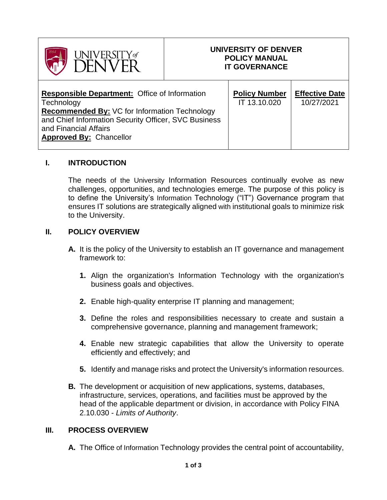| UNIVERSITY of                                                                                                                                                                                                                                 | UNIVERSITY OF DENVER<br><b>POLICY MANUAL</b><br><b>IT GOVERNANCE</b> |                                      |                                     |
|-----------------------------------------------------------------------------------------------------------------------------------------------------------------------------------------------------------------------------------------------|----------------------------------------------------------------------|--------------------------------------|-------------------------------------|
| <b>Responsible Department: Office of Information</b><br>Technology<br><b>Recommended By: VC for Information Technology</b><br>and Chief Information Security Officer, SVC Business<br>and Financial Affairs<br><b>Approved By: Chancellor</b> |                                                                      | <b>Policy Number</b><br>IT 13.10.020 | <b>Effective Date</b><br>10/27/2021 |

## **I. INTRODUCTION**

The needs of the University Information Resources continually evolve as new challenges, opportunities, and technologies emerge. The purpose of this policy is to define the University's Information Technology ("IT") Governance program that ensures IT solutions are strategically aligned with institutional goals to minimize risk to the University.

## **II. POLICY OVERVIEW**

- **A.** It is the policy of the University to establish an IT governance and management framework to:
	- **1.** Align the organization's Information Technology with the organization's business goals and objectives.
	- **2.** Enable high-quality enterprise IT planning and management;
	- **3.** Define the roles and responsibilities necessary to create and sustain a comprehensive governance, planning and management framework;
	- **4.** Enable new strategic capabilities that allow the University to operate efficiently and effectively; and
	- **5.** Identify and manage risks and protect the University's information resources.
- **B.** The development or acquisition of new applications, systems, databases, infrastructure, services, operations, and facilities must be approved by the head of the applicable department or division, in accordance with Policy FINA 2.10.030 - *Limits of Authority*.

## **III. PROCESS OVERVIEW**

**A.** The Office of Information Technology provides the central point of accountability,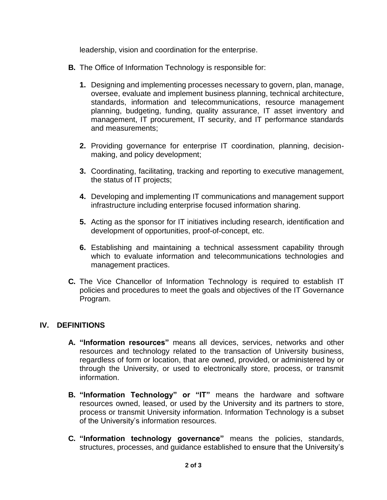leadership, vision and coordination for the enterprise.

- **B.** The Office of Information Technology is responsible for:
	- **1.** Designing and implementing processes necessary to govern, plan, manage, oversee, evaluate and implement business planning, technical architecture, standards, information and telecommunications, resource management planning, budgeting, funding, quality assurance, IT asset inventory and management, IT procurement, IT security, and IT performance standards and measurements;
	- **2.** Providing governance for enterprise IT coordination, planning, decisionmaking, and policy development;
	- **3.** Coordinating, facilitating, tracking and reporting to executive management, the status of IT projects;
	- **4.** Developing and implementing IT communications and management support infrastructure including enterprise focused information sharing.
	- **5.** Acting as the sponsor for IT initiatives including research, identification and development of opportunities, proof-of-concept, etc.
	- **6.** Establishing and maintaining a technical assessment capability through which to evaluate information and telecommunications technologies and management practices.
- **C.** The Vice Chancellor of Information Technology is required to establish IT policies and procedures to meet the goals and objectives of the IT Governance Program.

## **IV. DEFINITIONS**

- **A. "Information resources"** means all devices, services, networks and other resources and technology related to the transaction of University business, regardless of form or location, that are owned, provided, or administered by or through the University, or used to electronically store, process, or transmit information.
- **B. "Information Technology" or "IT"** means the hardware and software resources owned, leased, or used by the University and its partners to store, process or transmit University information. Information Technology is a subset of the University's information resources.
- **C. "Information technology governance"** means the policies, standards, structures, processes, and guidance established to ensure that the University's